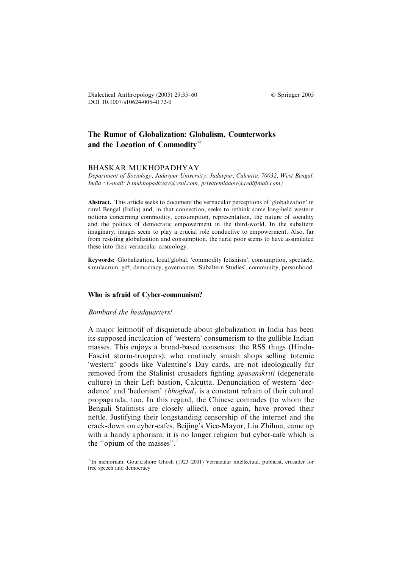Dialectical Anthropology (2005) 29:35–60 Springer 2005 DOI 10.1007/s10624-005-4172-0

# The Rumor of Globalization: Globalism, Counterworks and the Location of Commodity $\hat{d}$

#### BHASKAR MUKHOPADHYAY

Department of Sociology, Jadavpur University, Jadavpur, Calcutta, 70032, West Bengal, India (E-mail: b.mukhopadhyay@vsnl.com, privatemiaaow@rediffmail.com)

Abstract. This article seeks to document the vernacular perceptions of 'globalization' in rural Bengal (India) and, in that connection, seeks to rethink some long-held western notions concerning commodity, consumption, representation, the nature of sociality and the politics of democratic empowerment in the third-world. In the subaltern imaginary, images seem to play a crucial role conductive to empowerment. Also, far from resisting globalization and consumption, the rural poor seems to have assimilated these into their vernacular cosmology.

Keywords: Globalization, local/global, 'commodity fetishism', consumption, spectacle, simulacrum, gift, democracy, governance, 'Subaltern Studies', community, personhood.

#### Who is afraid of Cyber-communism?

#### Bombard the headquarters!

A major leitmotif of disquietude about globalization in India has been its supposed inculcation of 'western' consumerism to the gullible Indian masses. This enjoys a broad-based consensus: the RSS thugs (Hindu-Fascist storm-troopers), who routinely smash shops selling totemic 'western' goods like Valentine's Day cards, are not ideologically far removed from the Stalinist crusaders fighting apasanskriti (degenerate culture) in their Left bastion, Calcutta. Denunciation of western 'decadence' and 'hedonism' (bhogbad) is a constant refrain of their cultural propaganda, too. In this regard, the Chinese comrades (to whom the Bengali Stalinists are closely allied), once again, have proved their nettle. Justifying their longstanding censorship of the internet and the crack-down on cyber-cafes, Beijing's Vice-Mayor, Liu Zhihua, came up with a handy aphorism: it is no longer religion but cyber-cafe which is the "opium of the masses".<sup>1</sup>

 $*$ In memoriam: Gourkishore Ghosh (1923–2001) Vernacular intellectual, publicist, crusader for free speech and democracy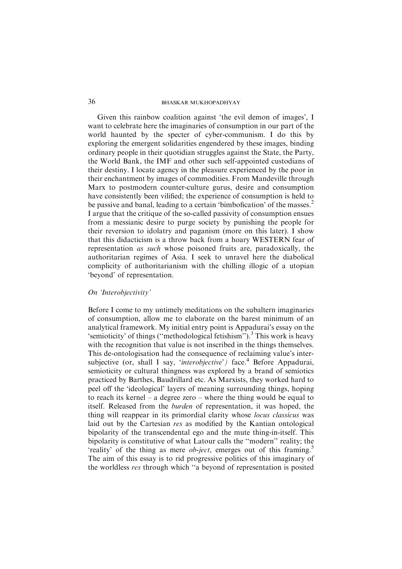Given this rainbow coalition against 'the evil demon of images', I want to celebrate here the imaginaries of consumption in our part of the world haunted by the specter of cyber-communism. I do this by exploring the emergent solidarities engendered by these images, binding ordinary people in their quotidian struggles against the State, the Party, the World Bank, the IMF and other such self-appointed custodians of their destiny. I locate agency in the pleasure experienced by the poor in their enchantment by images of commodities. From Mandeville through Marx to postmodern counter-culture gurus, desire and consumption have consistently been vilified; the experience of consumption is held to be passive and banal, leading to a certain 'bimbofication' of the masses.<sup>2</sup> I argue that the critique of the so-called passivity of consumption ensues from a messianic desire to purge society by punishing the people for their reversion to idolatry and paganism (more on this later). I show that this didacticism is a throw back from a hoary WESTERN fear of representation as such whose poisoned fruits are, paradoxically, the authoritarian regimes of Asia. I seek to unravel here the diabolical complicity of authoritarianism with the chilling illogic of a utopian 'beyond' of representation.

## On 'Interobjectivity'

Before I come to my untimely meditations on the subaltern imaginaries of consumption, allow me to elaborate on the barest minimum of an analytical framework. My initial entry point is Appadurai's essay on the 'semioticity' of things ("methodological fetishism").<sup>3</sup> This work is heavy with the recognition that value is not inscribed in the things themselves. This de-ontologisation had the consequence of reclaiming value's intersubjective (or, shall I say, 'interobjective') face.<sup>4</sup> Before Appadurai, semioticity or cultural thingness was explored by a brand of semiotics practiced by Barthes, Baudrillard etc. As Marxists, they worked hard to peel off the 'ideological' layers of meaning surrounding things, hoping to reach its kernel – a degree zero – where the thing would be equal to itself. Released from the burden of representation, it was hoped, the thing will reappear in its primordial clarity whose locus classicus was laid out by the Cartesian res as modified by the Kantian ontological bipolarity of the transcendental ego and the mute thing-in-itself. This bipolarity is constitutive of what Latour calls the ''modern'' reality; the 'reality' of the thing as mere *ob-ject*, emerges out of this framing.<sup>5</sup> The aim of this essay is to rid progressive politics of this imaginary of the worldless res through which ''a beyond of representation is posited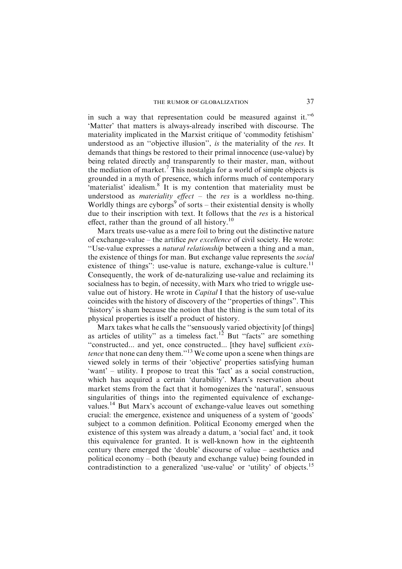in such a way that representation could be measured against it."<sup>6</sup> 'Matter' that matters is always-already inscribed with discourse. The materiality implicated in the Marxist critique of 'commodity fetishism' understood as an ''objective illusion'', is the materiality of the res. It demands that things be restored to their primal innocence (use-value) by being related directly and transparently to their master, man, without the mediation of market.<sup>7</sup> This nostalgia for a world of simple objects is grounded in a myth of presence, which informs much of contemporary 'materialist' idealism.<sup>8</sup> It is my contention that materiality must be understood as *materiality effect*  $-$  the *res* is a worldless no-thing. Worldly things are cyborgs<sup>9</sup> of sorts – their existential density is wholly due to their inscription with text. It follows that the res is a historical effect, rather than the ground of all history.<sup>10</sup>

Marx treats use-value as a mere foil to bring out the distinctive nature of exchange-value – the artifice per excellence of civil society. He wrote: ''Use-value expresses a natural relationship between a thing and a man, the existence of things for man. But exchange value represents the social existence of things": use-value is nature, exchange-value is culture.<sup>11</sup> Consequently, the work of de-naturalizing use-value and reclaiming its socialness has to begin, of necessity, with Marx who tried to wriggle usevalue out of history. He wrote in *Capital* I that the history of use-value coincides with the history of discovery of the ''properties of things''. This 'history' is sham because the notion that the thing is the sum total of its physical properties is itself a product of history.

Marx takes what he calls the ''sensuously varied objectivity [of things] as articles of utility" as a timeless fact.<sup>12</sup> But "facts" are something ''constructed... and yet, once constructed... [they have] sufficient existence that none can deny them."<sup>13</sup> We come upon a scene when things are viewed solely in terms of their 'objective' properties satisfying human 'want' – utility. I propose to treat this 'fact' as a social construction, which has acquired a certain 'durability'. Marx's reservation about market stems from the fact that it homogenizes the 'natural', sensuous singularities of things into the regimented equivalence of exchangevalues.14 But Marx's account of exchange-value leaves out something crucial: the emergence, existence and uniqueness of a system of 'goods' subject to a common definition. Political Economy emerged when the existence of this system was already a datum, a 'social fact' and, it took this equivalence for granted. It is well-known how in the eighteenth century there emerged the 'double' discourse of value – aesthetics and political economy – both (beauty and exchange value) being founded in contradistinction to a generalized 'use-value' or 'utility' of objects.15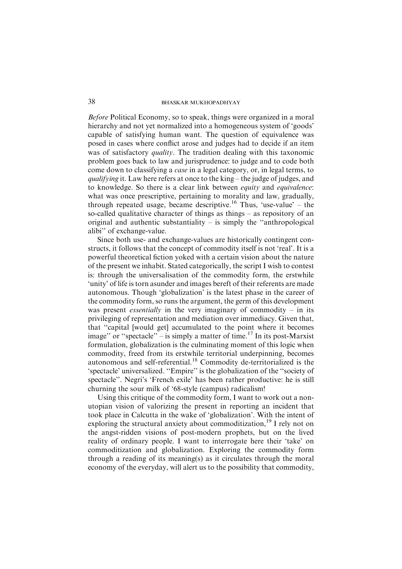Before Political Economy, so to speak, things were organized in a moral hierarchy and not yet normalized into a homogeneous system of 'goods' capable of satisfying human want. The question of equivalence was posed in cases where conflict arose and judges had to decide if an item was of satisfactory *quality*. The tradition dealing with this taxonomic problem goes back to law and jurisprudence: to judge and to code both come down to classifying a case in a legal category, or, in legal terms, to qualifying it. Law here refers at once to the king – the judge of judges, and to knowledge. So there is a clear link between *equity* and *equivalence*: what was once prescriptive, pertaining to morality and law, gradually, through repeated usage, became descriptive.<sup>16</sup> Thus, 'use-value' – the so-called qualitative character of things as things – as repository of an original and authentic substantiality  $-$  is simply the "anthropological alibi'' of exchange-value.

Since both use- and exchange-values are historically contingent constructs, it follows that the concept of commodity itself is not 'real'. It is a powerful theoretical fiction yoked with a certain vision about the nature of the present we inhabit. Stated categorically, the script I wish to contest is: through the universalisation of the commodity form, the erstwhile 'unity' of life is torn asunder and images bereft of their referents are made autonomous. Though 'globalization' is the latest phase in the career of the commodity form, so runs the argument, the germ of this development was present *essentially* in the very imaginary of commodity – in its privileging of representation and mediation over immediacy. Given that, that ''capital [would get] accumulated to the point where it becomes image" or "spectacle" – is simply a matter of time.<sup>17</sup> In its post-Marxist formulation, globalization is the culminating moment of this logic when commodity, freed from its erstwhile territorial underpinning, becomes autonomous and self-referential.<sup>18</sup> Commodity de-territorialized is the 'spectacle' universalized. ''Empire'' is the globalization of the ''society of spectacle''. Negri's 'French exile' has been rather productive: he is still churning the sour milk of '68-style (campus) radicalism!

Using this critique of the commodity form, I want to work out a nonutopian vision of valorizing the present in reporting an incident that took place in Calcutta in the wake of 'globalization'. With the intent of exploring the structural anxiety about commoditization,  $^{19}$  I rely not on the angst-ridden visions of post-modern prophets, but on the lived reality of ordinary people. I want to interrogate here their 'take' on commoditization and globalization. Exploring the commodity form through a reading of its meaning(s) as it circulates through the moral economy of the everyday, will alert us to the possibility that commodity,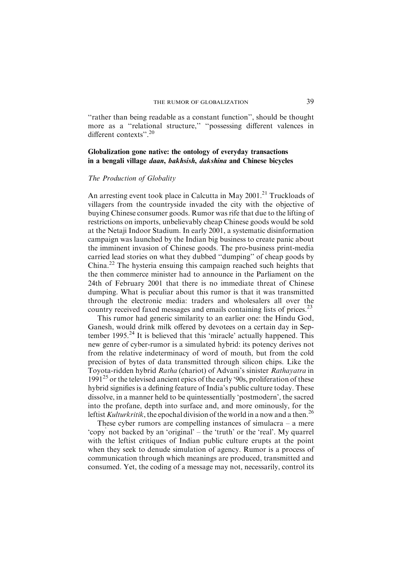''rather than being readable as a constant function'', should be thought more as a ''relational structure,'' ''possessing different valences in different contexts".<sup>20</sup>

### Globalization gone native: the ontology of everyday transactions in a bengali village daan, bakhsish, dakshina and Chinese bicycles

#### The Production of Globality

An arresting event took place in Calcutta in May  $2001$ <sup>21</sup> Truckloads of villagers from the countryside invaded the city with the objective of buying Chinese consumer goods. Rumor was rife that due to the lifting of restrictions on imports, unbelievably cheap Chinese goods would be sold at the Netaji Indoor Stadium. In early 2001, a systematic disinformation campaign was launched by the Indian big business to create panic about the imminent invasion of Chinese goods. The pro-business print-media carried lead stories on what they dubbed ''dumping'' of cheap goods by China.22 The hysteria ensuing this campaign reached such heights that the then commerce minister had to announce in the Parliament on the 24th of February 2001 that there is no immediate threat of Chinese dumping. What is peculiar about this rumor is that it was transmitted through the electronic media: traders and wholesalers all over the country received faxed messages and emails containing lists of prices.<sup>23</sup>

This rumor had generic similarity to an earlier one: the Hindu God, Ganesh, would drink milk offered by devotees on a certain day in September 1995.<sup>24</sup> It is believed that this 'miracle' actually happened. This new genre of cyber-rumor is a simulated hybrid: its potency derives not from the relative indeterminacy of word of mouth, but from the cold precision of bytes of data transmitted through silicon chips. Like the Toyota-ridden hybrid Ratha (chariot) of Advani's sinister Rathayatra in 1991<sup>25</sup> or the televised ancient epics of the early '90s, proliferation of these hybrid signifies is a defining feature of India's public culture today. These dissolve, in a manner held to be quintessentially 'postmodern', the sacred into the profane, depth into surface and, and more ominously, for the leftist Kulturkritik, the epochal division of the world in a now and a then.<sup>26</sup>

These cyber rumors are compelling instances of simulacra  $-$  a mere 'copy' not backed by an 'original' – the 'truth' or the 'real'. My quarrel with the leftist critiques of Indian public culture erupts at the point when they seek to denude simulation of agency. Rumor is a process of communication through which meanings are produced, transmitted and consumed. Yet, the coding of a message may not, necessarily, control its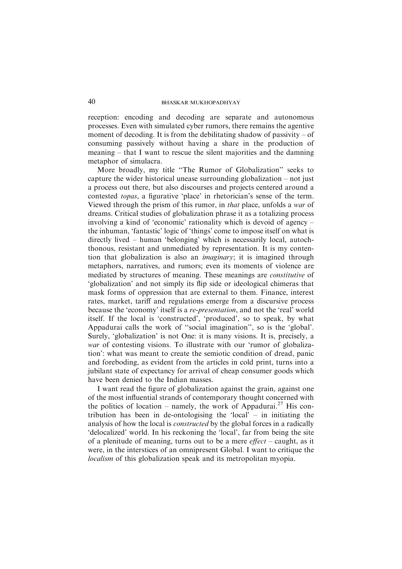reception: encoding and decoding are separate and autonomous processes. Even with simulated cyber rumors, there remains the agentive moment of decoding. It is from the debilitating shadow of passivity  $-$  of consuming passively without having a share in the production of meaning – that I want to rescue the silent majorities and the damning metaphor of simulacra.

More broadly, my title ''The Rumor of Globalization'' seeks to capture the wider historical unease surrounding globalization – not just a process out there, but also discourses and projects centered around a contested topas, a figurative 'place' in rhetorician's sense of the term. Viewed through the prism of this rumor, in that place, unfolds a war of dreams. Critical studies of globalization phrase it as a totalizing process involving a kind of 'economic' rationality which is devoid of agency – the inhuman, 'fantastic' logic of 'things' come to impose itself on what is directly lived – human 'belonging' which is necessarily local, autochthonous, resistant and unmediated by representation. It is my contention that globalization is also an *imaginary*; it is imagined through metaphors, narratives, and rumors; even its moments of violence are mediated by structures of meaning. These meanings are constitutive of 'globalization' and not simply its flip side or ideological chimeras that mask forms of oppression that are external to them. Finance, interest rates, market, tariff and regulations emerge from a discursive process because the 'economy' itself is a re-presentation, and not the 'real' world itself. If the local is 'constructed', 'produced', so to speak, by what Appadurai calls the work of ''social imagination'', so is the 'global'. Surely, 'globalization' is not One: it is many visions. It is, precisely, a war of contesting visions. To illustrate with our 'rumor of globalization': what was meant to create the semiotic condition of dread, panic and foreboding, as evident from the articles in cold print, turns into a jubilant state of expectancy for arrival of cheap consumer goods which have been denied to the Indian masses.

I want read the figure of globalization against the grain, against one of the most influential strands of contemporary thought concerned with the politics of location – namely, the work of Appadurai.<sup>27</sup> His contribution has been in de-ontologising the 'local' – in initiating the analysis of how the local is constructed by the global forces in a radically 'delocalized' world. In his reckoning the 'local', far from being the site of a plenitude of meaning, turns out to be a mere  $effect$  – caught, as it were, in the interstices of an omnipresent Global. I want to critique the localism of this globalization speak and its metropolitan myopia.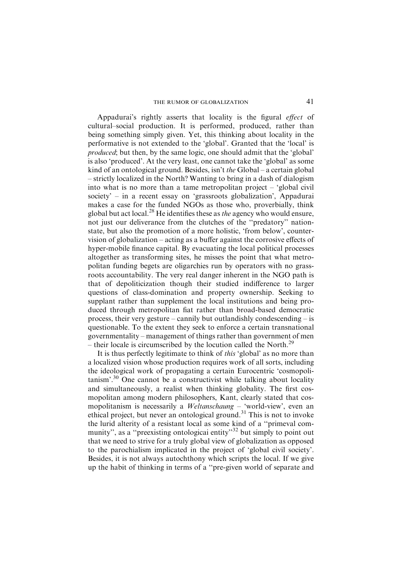# THE RUMOR OF GLOBALIZATION 41

Appadurai's rightly asserts that locality is the figural *effect* of cultural–social production. It is performed, produced, rather than being something simply given. Yet, this thinking about locality in the performative is not extended to the 'global'. Granted that the 'local' is produced; but then, by the same logic, one should admit that the 'global' is also 'produced'. At the very least, one cannot take the 'global' as some kind of an ontological ground. Besides, isn't the Global – a certain global – strictly localized in the North? Wanting to bring in a dash of dialogism into what is no more than a tame metropolitan project – 'global civil society' – in a recent essay on 'grassroots globalization', Appadurai makes a case for the funded NGOs as those who, proverbially, think global but act local.<sup>28</sup> He identifies these as *the* agency who would ensure, not just our deliverance from the clutches of the ''predatory'' nationstate, but also the promotion of a more holistic, 'from below', countervision of globalization – acting as a buffer against the corrosive effects of hyper-mobile finance capital. By evacuating the local political processes altogether as transforming sites, he misses the point that what metropolitan funding begets are oligarchies run by operators with no grassroots accountability. The very real danger inherent in the NGO path is that of depoliticization though their studied indifference to larger questions of class-domination and property ownership. Seeking to supplant rather than supplement the local institutions and being produced through metropolitan fiat rather than broad-based democratic process, their very gesture – cannily but outlandishly condescending – is questionable. To the extent they seek to enforce a certain transnational governmentality – management of things rather than government of men – their locale is circumscribed by the locution called the North.<sup>29</sup>

It is thus perfectly legitimate to think of *this* 'global' as no more than a localized vision whose production requires work of all sorts, including the ideological work of propagating a certain Eurocentric 'cosmopolitanism'.30 One cannot be a constructivist while talking about locality and simultaneously, a realist when thinking globality. The first cosmopolitan among modern philosophers, Kant, clearly stated that cosmopolitanism is necessarily a *Weltanschaung* – 'world-view', even an ethical project, but never an ontological ground.<sup>31</sup> This is not to invoke the lurid alterity of a resistant local as some kind of a ''primeval community", as a "preexisting ontological entity"<sup>32</sup> but simply to point out that we need to strive for a truly global view of globalization as opposed to the parochialism implicated in the project of 'global civil society'. Besides, it is not always autochthony which scripts the local. If we give up the habit of thinking in terms of a ''pre-given world of separate and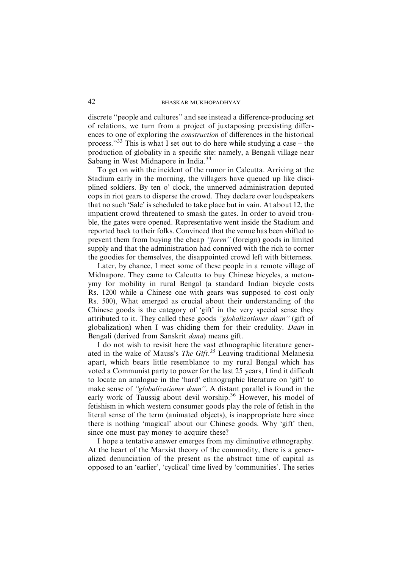discrete ''people and cultures'' and see instead a difference-producing set of relations, we turn from a project of juxtaposing preexisting differences to one of exploring the construction of differences in the historical process."<sup>33</sup> This is what I set out to do here while studying a case – the production of globality in a specific site: namely, a Bengali village near Sabang in West Midnapore in India.<sup>34</sup>

To get on with the incident of the rumor in Calcutta. Arriving at the Stadium early in the morning, the villagers have queued up like disciplined soldiers. By ten o' clock, the unnerved administration deputed cops in riot gears to disperse the crowd. They declare over loudspeakers that no such 'Sale' is scheduled to take place but in vain. At about 12, the impatient crowd threatened to smash the gates. In order to avoid trouble, the gates were opened. Representative went inside the Stadium and reported back to their folks. Convinced that the venue has been shifted to prevent them from buying the cheap "foren" (foreign) goods in limited supply and that the administration had connived with the rich to corner the goodies for themselves, the disappointed crowd left with bitterness.

Later, by chance, I meet some of these people in a remote village of Midnapore. They came to Calcutta to buy Chinese bicycles, a metonymy for mobility in rural Bengal (a standard Indian bicycle costs Rs. 1200 while a Chinese one with gears was supposed to cost only Rs. 500), What emerged as crucial about their understanding of the Chinese goods is the category of 'gift' in the very special sense they attributed to it. They called these goods ''globalizationer daan'' (gift of globalization) when I was chiding them for their credulity. Daan in Bengali (derived from Sanskrit dana) means gift.

I do not wish to revisit here the vast ethnographic literature generated in the wake of Mauss's *The Gift*.<sup>35</sup> Leaving traditional Melanesia apart, which bears little resemblance to my rural Bengal which has voted a Communist party to power for the last 25 years, I find it difficult to locate an analogue in the 'hard' ethnographic literature on 'gift' to make sense of ''globalizationer dann''. A distant parallel is found in the early work of Taussig about devil worship.<sup>36</sup> However, his model of fetishism in which western consumer goods play the role of fetish in the literal sense of the term (animated objects), is inappropriate here since there is nothing 'magical' about our Chinese goods. Why 'gift' then, since one must pay money to acquire these?

I hope a tentative answer emerges from my diminutive ethnography. At the heart of the Marxist theory of the commodity, there is a generalized denunciation of the present as the abstract time of capital as opposed to an 'earlier', 'cyclical' time lived by 'communities'. The series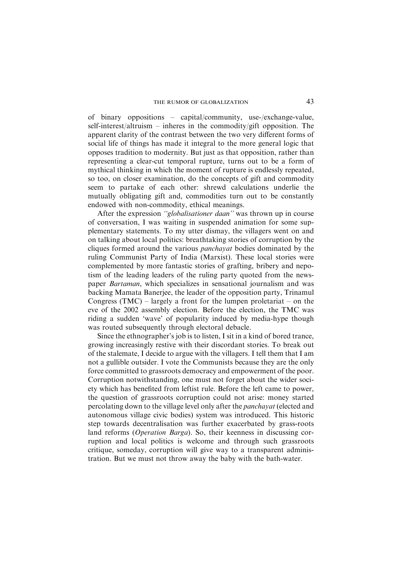of binary oppositions – capital/community, use-/exchange-value, self-interest/altruism – inheres in the commodity/gift opposition. The apparent clarity of the contrast between the two very different forms of social life of things has made it integral to the more general logic that opposes tradition to modernity. But just as that opposition, rather than representing a clear-cut temporal rupture, turns out to be a form of mythical thinking in which the moment of rupture is endlessly repeated, so too, on closer examination, do the concepts of gift and commodity seem to partake of each other: shrewd calculations underlie the mutually obligating gift and, commodities turn out to be constantly endowed with non-commodity, ethical meanings.

After the expression ''globalisationer daan'' was thrown up in course of conversation, I was waiting in suspended animation for some supplementary statements. To my utter dismay, the villagers went on and on talking about local politics: breathtaking stories of corruption by the cliques formed around the various *panchavat* bodies dominated by the ruling Communist Party of India (Marxist). These local stories were complemented by more fantastic stories of grafting, bribery and nepotism of the leading leaders of the ruling party quoted from the newspaper Bartaman, which specializes in sensational journalism and was backing Mamata Banerjee, the leader of the opposition party, Trinamul Congress  $(TMC)$  – largely a front for the lumpen proletariat – on the eve of the 2002 assembly election. Before the election, the TMC was riding a sudden 'wave' of popularity induced by media-hype though was routed subsequently through electoral debacle.

Since the ethnographer's job is to listen, I sit in a kind of bored trance, growing increasingly restive with their discordant stories. To break out of the stalemate, I decide to argue with the villagers. I tell them that I am not a gullible outsider. I vote the Communists because they are the only force committed to grassroots democracy and empowerment of the poor. Corruption notwithstanding, one must not forget about the wider society which has benefited from leftist rule. Before the left came to power, the question of grassroots corruption could not arise: money started percolating down to the village level only after the panchayat (elected and autonomous village civic bodies) system was introduced. This historic step towards decentralisation was further exacerbated by grass-roots land reforms (Operation Barga). So, their keenness in discussing corruption and local politics is welcome and through such grassroots critique, someday, corruption will give way to a transparent administration. But we must not throw away the baby with the bath-water.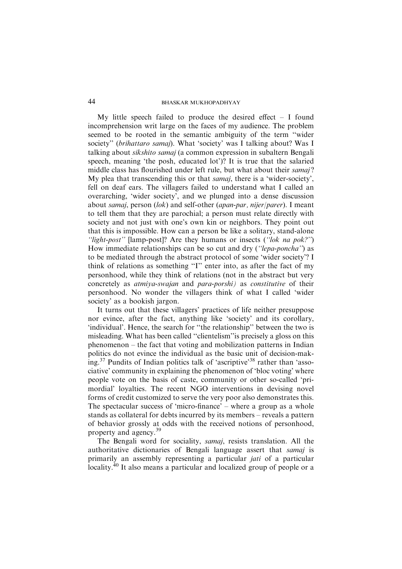My little speech failed to produce the desired effect  $-$  I found incomprehension writ large on the faces of my audience. The problem seemed to be rooted in the semantic ambiguity of the term ''wider society" (brihattaro samaj). What 'society' was I talking about? Was I talking about sikshito samaj (a common expression in subaltern Bengali speech, meaning 'the posh, educated lot')? It is true that the salaried middle class has flourished under left rule, but what about their samaj? My plea that transcending this or that *samaj*, there is a 'wider-society', fell on deaf ears. The villagers failed to understand what I called an overarching, 'wider society', and we plunged into a dense discussion about samaj, person (lok) and self-other (apan-par, nijer/parer). I meant to tell them that they are parochial; a person must relate directly with society and not just with one's own kin or neighbors. They point out that this is impossible. How can a person be like a solitary, stand-alone ''light-post'' [lamp-post]? Are they humans or insects (''lok na pok?'') How immediate relationships can be so cut and dry (''lepa-poncha'') as to be mediated through the abstract protocol of some 'wider society'? I think of relations as something ''I'' enter into, as after the fact of my personhood, while they think of relations (not in the abstract but very concretely as atmiya-swajan and para-porshi) as constitutive of their personhood. No wonder the villagers think of what I called 'wider society' as a bookish jargon.

It turns out that these villagers' practices of life neither presuppose nor evince, after the fact, anything like 'society' and its corollary, 'individual'. Hence, the search for ''the relationship'' between the two is misleading. What has been called ''clientelism''is precisely a gloss on this phenomenon – the fact that voting and mobilization patterns in Indian politics do not evince the individual as the basic unit of decision-making.37 Pundits of Indian politics talk of 'ascriptive'<sup>38</sup> rather than 'associative' community in explaining the phenomenon of 'bloc voting' where people vote on the basis of caste, community or other so-called 'primordial' loyalties. The recent NGO interventions in devising novel forms of credit customized to serve the very poor also demonstrates this. The spectacular success of 'micro-finance' – where a group as a whole stands as collateral for debts incurred by its members – reveals a pattern of behavior grossly at odds with the received notions of personhood, property and agency.<sup>39</sup>

The Bengali word for sociality, samaj, resists translation. All the authoritative dictionaries of Bengali language assert that samaj is primarily an assembly representing a particular *jati* of a particular locality.<sup>40</sup> It also means a particular and localized group of people or a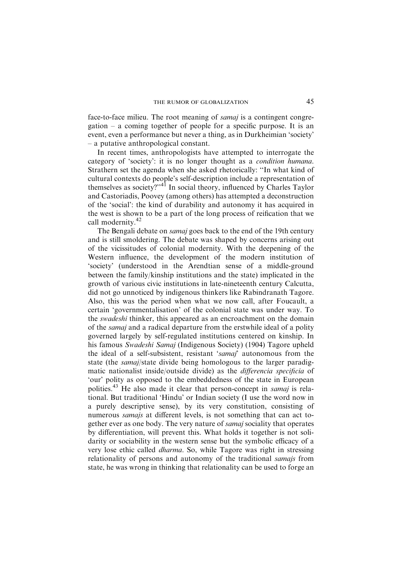face-to-face milieu. The root meaning of *samaj* is a contingent congregation – a coming together of people for a specific purpose. It is an event, even a performance but never a thing, as in Durkheimian 'society' – a putative anthropological constant.

In recent times, anthropologists have attempted to interrogate the category of 'society': it is no longer thought as a condition humana. Strathern set the agenda when she asked rhetorically: ''In what kind of cultural contexts do people's self-description include a representation of themselves as society?"<sup>41</sup> In social theory, influenced by Charles Taylor and Castoriadis, Poovey (among others) has attempted a deconstruction of the 'social': the kind of durability and autonomy it has acquired in the west is shown to be a part of the long process of reification that we call modernity.<sup>42</sup>

The Bengali debate on *samaj* goes back to the end of the 19th century and is still smoldering. The debate was shaped by concerns arising out of the vicissitudes of colonial modernity. With the deepening of the Western influence, the development of the modern institution of 'society' (understood in the Arendtian sense of a middle-ground between the family/kinship institutions and the state) implicated in the growth of various civic institutions in late-nineteenth century Calcutta, did not go unnoticed by indigenous thinkers like Rabindranath Tagore. Also, this was the period when what we now call, after Foucault, a certain 'governmentalisation' of the colonial state was under way. To the *swadeshi* thinker, this appeared as an encroachment on the domain of the samaj and a radical departure from the erstwhile ideal of a polity governed largely by self-regulated institutions centered on kinship. In his famous Swadeshi Samaj (Indigenous Society) (1904) Tagore upheld the ideal of a self-subsistent, resistant 'samaj' autonomous from the state (the samaj/state divide being homologous to the larger paradigmatic nationalist inside/outside divide) as the differencia specificia of 'our' polity as opposed to the embeddedness of the state in European polities.<sup>43</sup> He also made it clear that person-concept in *samaj* is relational. But traditional 'Hindu' or Indian society (I use the word now in a purely descriptive sense), by its very constitution, consisting of numerous samajs at different levels, is not something that can act together ever as one body. The very nature of samaj sociality that operates by differentiation, will prevent this. What holds it together is not solidarity or sociability in the western sense but the symbolic efficacy of a very lose ethic called dharma. So, while Tagore was right in stressing relationality of persons and autonomy of the traditional *samajs* from state, he was wrong in thinking that relationality can be used to forge an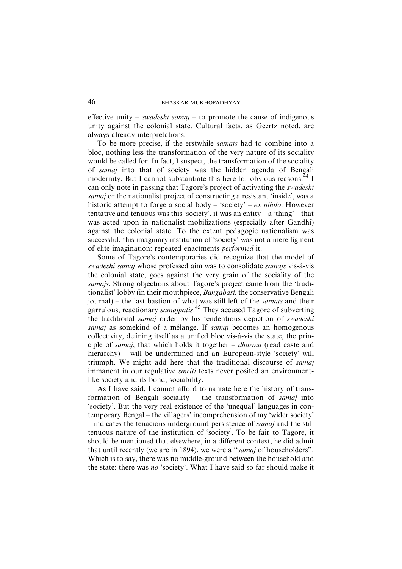effective unity – swadeshi samaj – to promote the cause of indigenous unity against the colonial state. Cultural facts, as Geertz noted, are always already interpretations.

To be more precise, if the erstwhile samajs had to combine into a bloc, nothing less the transformation of the very nature of its sociality would be called for. In fact, I suspect, the transformation of the sociality of samaj into that of society was the hidden agenda of Bengali modernity. But I cannot substantiate this here for obvious reasons.<sup>44</sup> I can only note in passing that Tagore's project of activating the swadeshi samaj or the nationalist project of constructing a resistant 'inside', was a historic attempt to forge a social body – 'society' –  $ex$  nihilo. However tentative and tenuous was this 'society', it was an entity – a 'thing' – that was acted upon in nationalist mobilizations (especially after Gandhi) against the colonial state. To the extent pedagogic nationalism was successful, this imaginary institution of 'society' was not a mere figment of elite imagination: repeated enactments performed it.

Some of Tagore's contemporaries did recognize that the model of swadeshi samaj whose professed aim was to consolidate samajs vis-à-vis the colonial state, goes against the very grain of the sociality of the samajs. Strong objections about Tagore's project came from the 'traditionalist' lobby (in their mouthpiece, *Bangabasi*, the conservative Bengali journal) – the last bastion of what was still left of the samajs and their garrulous, reactionary *samajpatis*.<sup>45</sup> They accused Tagore of subverting the traditional samaj order by his tendentious depiction of swadeshi samaj as somekind of a mélange. If samaj becomes an homogenous collectivity, defining itself as a unified bloc vis-à-vis the state, the principle of samaj, that which holds it together – dharma (read caste and hierarchy) – will be undermined and an European-style 'society' will triumph. We might add here that the traditional discourse of samaj immanent in our regulative *smriti* texts never posited an environmentlike society and its bond, sociability.

As I have said, I cannot afford to narrate here the history of transformation of Bengali sociality – the transformation of samaj into 'society'. But the very real existence of the 'unequal' languages in contemporary Bengal – the villagers' incomprehension of my 'wider society' – indicates the tenacious underground persistence of samaj and the still tenuous nature of the institution of 'society' . To be fair to Tagore, it should be mentioned that elsewhere, in a different context, he did admit that until recently (we are in 1894), we were a "samaj of householders". Which is to say, there was no middle-ground between the household and the state: there was no 'society'. What I have said so far should make it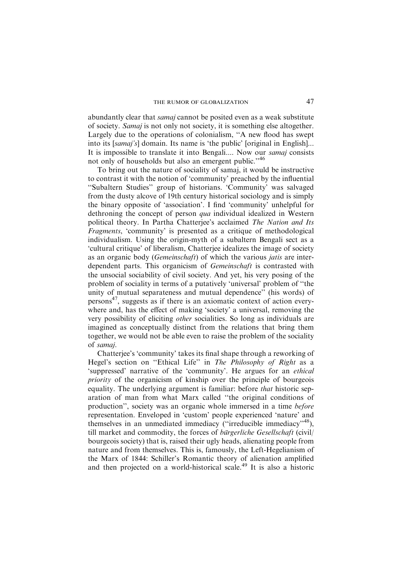abundantly clear that samaj cannot be posited even as a weak substitute of society. Samaj is not only not society, it is something else altogether. Largely due to the operations of colonialism, ''A new flood has swept into its [samaj's] domain. Its name is 'the public' [original in English]... It is impossible to translate it into Bengali.... Now our samaj consists not only of households but also an emergent public.''<sup>46</sup>

To bring out the nature of sociality of samaj, it would be instructive to contrast it with the notion of 'community' preached by the influential ''Subaltern Studies'' group of historians. 'Community' was salvaged from the dusty alcove of 19th century historical sociology and is simply the binary opposite of 'association'. I find 'community' unhelpful for dethroning the concept of person qua individual idealized in Western political theory. In Partha Chatterjee's acclaimed The Nation and Its Fragments, 'community' is presented as a critique of methodological individualism. Using the origin-myth of a subaltern Bengali sect as a 'cultural critique' of liberalism, Chatterjee idealizes the image of society as an organic body (Gemeinschaft) of which the various jatis are interdependent parts. This organicism of Gemeinschaft is contrasted with the unsocial sociability of civil society. And yet, his very posing of the problem of sociality in terms of a putatively 'universal' problem of ''the unity of mutual separateness and mutual dependence'' (his words) of persons $^{47}$ , suggests as if there is an axiomatic context of action everywhere and, has the effect of making 'society' a universal, removing the very possibility of eliciting other socialities. So long as individuals are imagined as conceptually distinct from the relations that bring them together, we would not be able even to raise the problem of the sociality of samaj.

Chatterjee's 'community' takes its final shape through a reworking of Hegel's section on "Ethical Life" in The Philosophy of Right as a 'suppressed' narrative of the 'community'. He argues for an ethical priority of the organicism of kinship over the principle of bourgeois equality. The underlying argument is familiar: before that historic separation of man from what Marx called ''the original conditions of production'', society was an organic whole immersed in a time before representation. Enveloped in 'custom' people experienced 'nature' and themselves in an unmediated immediacy ("irreducible immediacy", $48$ ), till market and commodity, the forces of *bürgerliche Gesellschaft* (civil/ bourgeois society) that is, raised their ugly heads, alienating people from nature and from themselves. This is, famously, the Left-Hegelianism of the Marx of 1844: Schiller's Romantic theory of alienation amplified and then projected on a world-historical scale.<sup>49</sup> It is also a historic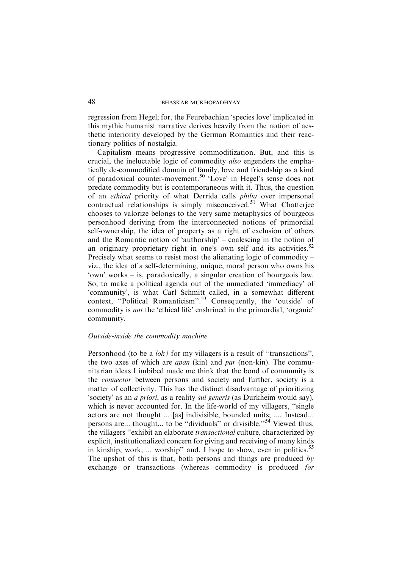regression from Hegel; for, the Feurebachian 'species love' implicated in this mythic humanist narrative derives heavily from the notion of aesthetic interiority developed by the German Romantics and their reactionary politics of nostalgia.

Capitalism means progressive commoditization. But, and this is crucial, the ineluctable logic of commodity also engenders the emphatically de-commodified domain of family, love and friendship as a kind of paradoxical counter-movement.<sup>50</sup> 'Love' in Hegel's sense does not predate commodity but is contemporaneous with it. Thus, the question of an ethical priority of what Derrida calls philia over impersonal contractual relationships is simply misconceived.<sup>51</sup> What Chatterjee chooses to valorize belongs to the very same metaphysics of bourgeois personhood deriving from the interconnected notions of primordial self-ownership, the idea of property as a right of exclusion of others and the Romantic notion of 'authorship' – coalescing in the notion of an originary proprietary right in one's own self and its activities.<sup>52</sup> Precisely what seems to resist most the alienating logic of commodity – viz., the idea of a self-determining, unique, moral person who owns his 'own' works – is, paradoxically, a singular creation of bourgeois law. So, to make a political agenda out of the unmediated 'immediacy' of 'community', is what Carl Schmitt called, in a somewhat different context, "Political Romanticism".<sup>53</sup> Consequently, the 'outside' of commodity is not the 'ethical life' enshrined in the primordial, 'organic' community.

# Outside-inside the commodity machine

Personhood (to be a  $\{lok\}$ ) for my villagers is a result of "transactions", the two axes of which are *apan* (kin) and *par* (non-kin). The communitarian ideas I imbibed made me think that the bond of community is the connector between persons and society and further, society is a matter of collectivity. This has the distinct disadvantage of prioritizing 'society' as an a priori, as a reality sui generis (as Durkheim would say), which is never accounted for. In the life-world of my villagers, "single" actors are not thought ... [as] indivisible, bounded units; .... Instead... persons are... thought... to be "dividuals" or divisible."<sup>54</sup> Viewed thus, the villagers ''exhibit an elaborate transactional culture, characterized by explicit, institutionalized concern for giving and receiving of many kinds in kinship, work, ... worship" and, I hope to show, even in politics.<sup>55</sup> The upshot of this is that, both persons and things are produced by exchange or transactions (whereas commodity is produced for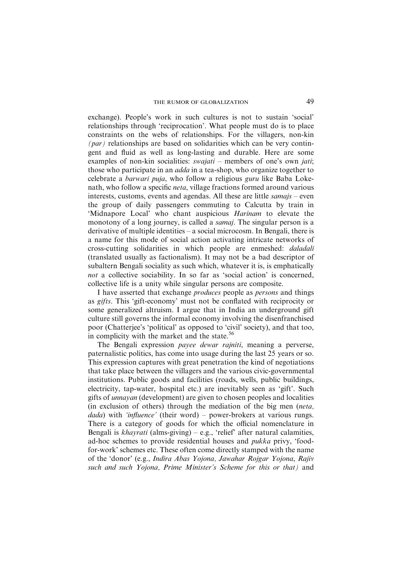exchange). People's work in such cultures is not to sustain 'social' relationships through 'reciprocation'. What people must do is to place constraints on the webs of relationships. For the villagers, non-kin  $(par)$  relationships are based on solidarities which can be very contingent and fluid as well as long-lasting and durable. Here are some examples of non-kin socialities: *swajati* – members of one's own *jati*; those who participate in an *adda* in a tea-shop, who organize together to celebrate a barwari puja, who follow a religious guru like Baba Lokenath, who follow a specific neta, village fractions formed around various interests, customs, events and agendas. All these are little *samajs* – even the group of daily passengers commuting to Calcutta by train in 'Midnapore Local' who chant auspicious Harinam to elevate the monotony of a long journey, is called a samaj. The singular person is a derivative of multiple identities – a social microcosm. In Bengali, there is a name for this mode of social action activating intricate networks of cross-cutting solidarities in which people are enmeshed: daladali (translated usually as factionalism). It may not be a bad descriptor of subaltern Bengali sociality as such which, whatever it is, is emphatically not a collective sociability. In so far as 'social action' is concerned, collective life is a unity while singular persons are composite.

I have asserted that exchange produces people as persons and things as gifts. This 'gift-economy' must not be conflated with reciprocity or some generalized altruism. I argue that in India an underground gift culture still governs the informal economy involving the disenfranchised poor (Chatterjee's 'political' as opposed to 'civil' society), and that too, in complicity with the market and the state. $56$ 

The Bengali expression payee dewar rajniti, meaning a perverse, paternalistic politics, has come into usage during the last 25 years or so. This expression captures with great penetration the kind of negotiations that take place between the villagers and the various civic-governmental institutions. Public goods and facilities (roads, wells, public buildings, electricity, tap-water, hospital etc.) are inevitably seen as 'gift'. Such gifts of unnayan (development) are given to chosen peoples and localities (in exclusion of others) through the mediation of the big men (neta,  $dada$ ) with 'influence' (their word) – power-brokers at various rungs. There is a category of goods for which the official nomenclature in Bengali is  $khayrati$  (alms-giving) – e.g., 'relief' after natural calamities, ad-hoc schemes to provide residential houses and pukka privy, 'foodfor-work' schemes etc. These often come directly stamped with the name of the 'donor' (e.g., Indira Abas Yojona, Jawahar Rojgar Yojona, Rajiv such and such Yojona, Prime Minister's Scheme for this or that) and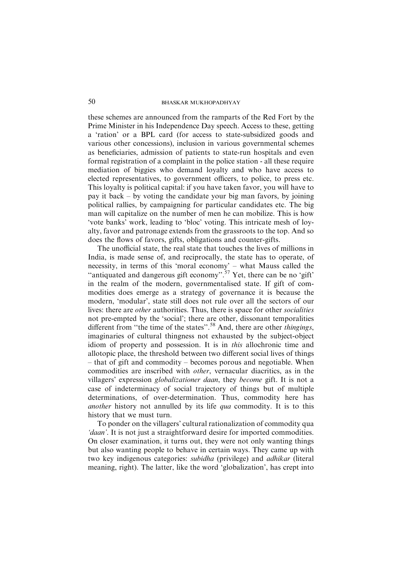these schemes are announced from the ramparts of the Red Fort by the Prime Minister in his Independence Day speech. Access to these, getting a 'ration' or a BPL card (for access to state-subsidized goods and various other concessions), inclusion in various governmental schemes as beneficiaries, admission of patients to state-run hospitals and even formal registration of a complaint in the police station - all these require mediation of biggies who demand loyalty and who have access to elected representatives, to government officers, to police, to press etc. This loyalty is political capital: if you have taken favor, you will have to pay it back – by voting the candidate your big man favors, by joining political rallies, by campaigning for particular candidates etc. The big man will capitalize on the number of men he can mobilize. This is how 'vote banks' work, leading to 'bloc' voting. This intricate mesh of loyalty, favor and patronage extends from the grassroots to the top. And so does the flows of favors, gifts, obligations and counter-gifts.

The unofficial state, the real state that touches the lives of millions in India, is made sense of, and reciprocally, the state has to operate, of necessity, in terms of this 'moral economy' – what Mauss called the "antiquated and dangerous gift economy".<sup>57</sup> Yet, there can be no 'gift' in the realm of the modern, governmentalised state. If gift of commodities does emerge as a strategy of governance it is because the modern, 'modular', state still does not rule over all the sectors of our lives: there are other authorities. Thus, there is space for other socialities not pre-empted by the 'social'; there are other, dissonant temporalities different from "the time of the states".<sup>58</sup> And, there are other *thingings*, imaginaries of cultural thingness not exhausted by the subject-object idiom of property and possession. It is in this allochronic time and allotopic place, the threshold between two different social lives of things – that of gift and commodity – becomes porous and negotiable. When commodities are inscribed with other, vernacular diacritics, as in the villagers' expression globalizationer daan, they become gift. It is not a case of indeterminacy of social trajectory of things but of multiple determinations, of over-determination. Thus, commodity here has another history not annulled by its life qua commodity. It is to this history that we must turn.

To ponder on the villagers' cultural rationalization of commodity qua 'daan'. It is not just a straightforward desire for imported commodities. On closer examination, it turns out, they were not only wanting things but also wanting people to behave in certain ways. They came up with two key indigenous categories: *subidha* (privilege) and *adhikar* (literal meaning, right). The latter, like the word 'globalization', has crept into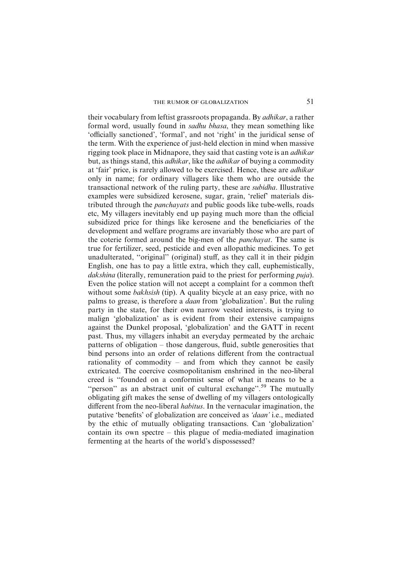their vocabulary from leftist grassroots propaganda. By *adhikar*, a rather formal word, usually found in sadhu bhasa, they mean something like 'officially sanctioned', 'formal', and not 'right' in the juridical sense of the term. With the experience of just-held election in mind when massive rigging took place in Midnapore, they said that casting vote is an *adhikar* but, as things stand, this adhikar, like the adhikar of buying a commodity at 'fair' price, is rarely allowed to be exercised. Hence, these are adhikar only in name; for ordinary villagers like them who are outside the transactional network of the ruling party, these are subidha. Illustrative examples were subsidized kerosene, sugar, grain, 'relief' materials distributed through the *panchayats* and public goods like tube-wells, roads etc, My villagers inevitably end up paying much more than the official subsidized price for things like kerosene and the beneficiaries of the development and welfare programs are invariably those who are part of the coterie formed around the big-men of the *panchayat*. The same is true for fertilizer, seed, pesticide and even allopathic medicines. To get unadulterated, ''original'' (original) stuff, as they call it in their pidgin English, one has to pay a little extra, which they call, euphemistically, dakshina (literally, remuneration paid to the priest for performing *puia*). Even the police station will not accept a complaint for a common theft without some *bakhsish* (tip). A quality bicycle at an easy price, with no palms to grease, is therefore a daan from 'globalization'. But the ruling party in the state, for their own narrow vested interests, is trying to malign 'globalization' as is evident from their extensive campaigns against the Dunkel proposal, 'globalization' and the GATT in recent past. Thus, my villagers inhabit an everyday permeated by the archaic patterns of obligation – those dangerous, fluid, subtle generosities that bind persons into an order of relations different from the contractual rationality of commodity – and from which they cannot be easily extricated. The coercive cosmopolitanism enshrined in the neo-liberal creed is ''founded on a conformist sense of what it means to be a "person" as an abstract unit of cultural exchange".<sup>59</sup> The mutually obligating gift makes the sense of dwelling of my villagers ontologically different from the neo-liberal habitus. In the vernacular imagination, the putative 'benefits' of globalization are conceived as 'daan' i.e., mediated by the ethic of mutually obligating transactions. Can 'globalization' contain its own spectre – this plague of media-mediated imagination fermenting at the hearts of the world's dispossessed?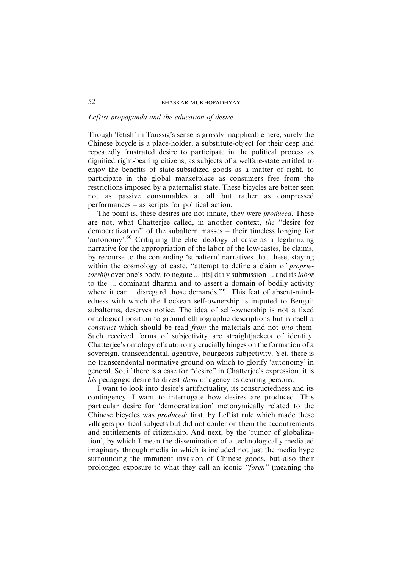#### Leftist propaganda and the education of desire

Though 'fetish' in Taussig's sense is grossly inapplicable here, surely the Chinese bicycle is a place-holder, a substitute-object for their deep and repeatedly frustrated desire to participate in the political process as dignified right-bearing citizens, as subjects of a welfare-state entitled to enjoy the benefits of state-subsidized goods as a matter of right, to participate in the global marketplace as consumers free from the restrictions imposed by a paternalist state. These bicycles are better seen not as passive consumables at all but rather as compressed performances – as scripts for political action.

The point is, these desires are not innate, they were *produced*. These are not, what Chatterjee called, in another context, the ''desire for democratization'' of the subaltern masses – their timeless longing for 'autonomy'.<sup>60</sup> Critiquing the elite ideology of caste as a legitimizing narrative for the appropriation of the labor of the low-castes, he claims, by recourse to the contending 'subaltern' narratives that these, staying within the cosmology of caste, "attempt to define a claim of *proprie*torship over one's body, to negate ... [its] daily submission ... and its *labor* to the ... dominant dharma and to assert a domain of bodily activity where it can... disregard those demands."<sup>61</sup> This feat of absent-mindedness with which the Lockean self-ownership is imputed to Bengali subalterns, deserves notice. The idea of self-ownership is not a fixed ontological position to ground ethnographic descriptions but is itself a construct which should be read from the materials and not into them. Such received forms of subjectivity are straightjackets of identity. Chatterjee's ontology of autonomy crucially hinges on the formation of a sovereign, transcendental, agentive, bourgeois subjectivity. Yet, there is no transcendental normative ground on which to glorify 'autonomy' in general. So, if there is a case for ''desire'' in Chatterjee's expression, it is his pedagogic desire to divest *them* of agency as desiring persons.

I want to look into desire's artifactuality, its constructedness and its contingency. I want to interrogate how desires are produced. This particular desire for 'democratization' metonymically related to the Chinese bicycles was produced: first, by Leftist rule which made these villagers political subjects but did not confer on them the accoutrements and entitlements of citizenship. And next, by the 'rumor of globalization', by which I mean the dissemination of a technologically mediated imaginary through media in which is included not just the media hype surrounding the imminent invasion of Chinese goods, but also their prolonged exposure to what they call an iconic ''foren'' (meaning the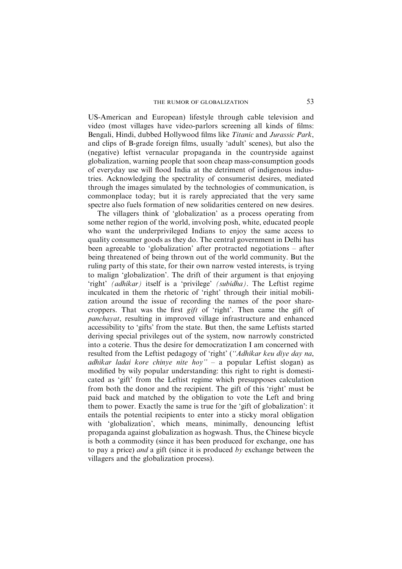US-American and European) lifestyle through cable television and video (most villages have video-parlors screening all kinds of films: Bengali, Hindi, dubbed Hollywood films like Titanic and Jurassic Park, and clips of B-grade foreign films, usually 'adult' scenes), but also the (negative) leftist vernacular propaganda in the countryside against globalization, warning people that soon cheap mass-consumption goods of everyday use will flood India at the detriment of indigenous industries. Acknowledging the spectrality of consumerist desires, mediated through the images simulated by the technologies of communication, is commonplace today; but it is rarely appreciated that the very same spectre also fuels formation of new solidarities centered on new desires.

The villagers think of 'globalization' as a process operating from some nether region of the world, involving posh, white, educated people who want the underprivileged Indians to enjoy the same access to quality consumer goods as they do. The central government in Delhi has been agreeable to 'globalization' after protracted negotiations – after being threatened of being thrown out of the world community. But the ruling party of this state, for their own narrow vested interests, is trying to malign 'globalization'. The drift of their argument is that enjoying 'right' (adhikar) itself is a 'privilege' (subidha). The Leftist regime inculcated in them the rhetoric of 'right' through their initial mobilization around the issue of recording the names of the poor sharecroppers. That was the first gift of 'right'. Then came the gift of panchayat, resulting in improved village infrastructure and enhanced accessibility to 'gifts' from the state. But then, the same Leftists started deriving special privileges out of the system, now narrowly constricted into a coterie. Thus the desire for democratization I am concerned with resulted from the Leftist pedagogy of 'right' (''Adhikar keu diye day na, adhikar ladai kore chinye nite hoy'' – a popular Leftist slogan) as modified by wily popular understanding: this right to right is domesticated as 'gift' from the Leftist regime which presupposes calculation from both the donor and the recipient. The gift of this 'right' must be paid back and matched by the obligation to vote the Left and bring them to power. Exactly the same is true for the 'gift of globalization': it entails the potential recipients to enter into a sticky moral obligation with 'globalization', which means, minimally, denouncing leftist propaganda against globalization as hogwash. Thus, the Chinese bicycle is both a commodity (since it has been produced for exchange, one has to pay a price) and a gift (since it is produced by exchange between the villagers and the globalization process).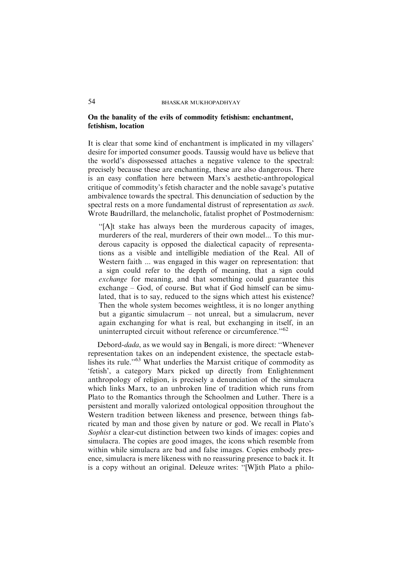### On the banality of the evils of commodity fetishism: enchantment, fetishism, location

It is clear that some kind of enchantment is implicated in my villagers' desire for imported consumer goods. Taussig would have us believe that the world's dispossessed attaches a negative valence to the spectral: precisely because these are enchanting, these are also dangerous. There is an easy conflation here between Marx's aesthetic-anthropological critique of commodity's fetish character and the noble savage's putative ambivalence towards the spectral. This denunciation of seduction by the spectral rests on a more fundamental distrust of representation as such. Wrote Baudrillard, the melancholic, fatalist prophet of Postmodernism:

''[A]t stake has always been the murderous capacity of images, murderers of the real, murderers of their own model... To this murderous capacity is opposed the dialectical capacity of representations as a visible and intelligible mediation of the Real. All of Western faith ... was engaged in this wager on representation: that a sign could refer to the depth of meaning, that a sign could exchange for meaning, and that something could guarantee this exchange – God, of course. But what if God himself can be simulated, that is to say, reduced to the signs which attest his existence? Then the whole system becomes weightless, it is no longer anything but a gigantic simulacrum – not unreal, but a simulacrum, never again exchanging for what is real, but exchanging in itself, in an uninterrupted circuit without reference or circumference."<sup>62</sup>

Debord-dada, as we would say in Bengali, is more direct: ''Whenever representation takes on an independent existence, the spectacle establishes its rule."<sup>63</sup> What underlies the Marxist critique of commodity as 'fetish', a category Marx picked up directly from Enlightenment anthropology of religion, is precisely a denunciation of the simulacra which links Marx, to an unbroken line of tradition which runs from Plato to the Romantics through the Schoolmen and Luther. There is a persistent and morally valorized ontological opposition throughout the Western tradition between likeness and presence, between things fabricated by man and those given by nature or god. We recall in Plato's Sophist a clear-cut distinction between two kinds of images: copies and simulacra. The copies are good images, the icons which resemble from within while simulacra are bad and false images. Copies embody presence, simulacra is mere likeness with no reassuring presence to back it. It is a copy without an original. Deleuze writes: ''[W]ith Plato a philo-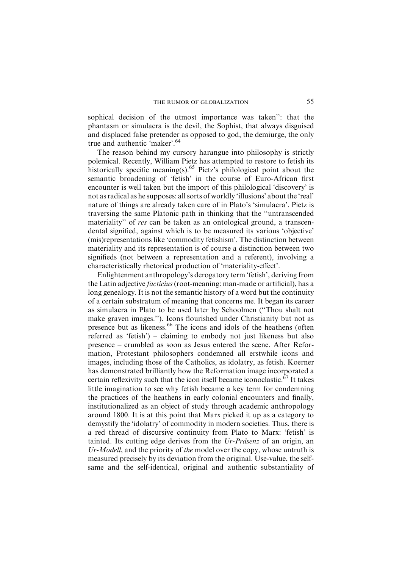sophical decision of the utmost importance was taken'': that the phantasm or simulacra is the devil, the Sophist, that always disguised and displaced false pretender as opposed to god, the demiurge, the only true and authentic 'maker'.<sup>64</sup>

The reason behind my cursory harangue into philosophy is strictly polemical. Recently, William Pietz has attempted to restore to fetish its historically specific meaning(s).<sup>65</sup> Pietz's philological point about the semantic broadening of 'fetish' in the course of Euro-African first encounter is well taken but the import of this philological 'discovery' is not as radical as he supposes: all sorts of worldly 'illusions' about the 'real' nature of things are already taken care of in Plato's 'simulacra'. Pietz is traversing the same Platonic path in thinking that the ''untranscended materiality" of res can be taken as an ontological ground, a transcendental signified, against which is to be measured its various 'objective' (mis)representations like 'commodity fetishism'. The distinction between materiality and its representation is of course a distinction between two signifieds (not between a representation and a referent), involving a characteristically rhetorical production of 'materiality-effect'.

Enlightenment anthropology's derogatory term 'fetish', deriving from the Latin adjective facticius (root-meaning: man-made or artificial), has a long genealogy. It is not the semantic history of a word but the continuity of a certain substratum of meaning that concerns me. It began its career as simulacra in Plato to be used later by Schoolmen (''Thou shalt not make graven images.''). Icons flourished under Christianity but not as presence but as likeness.<sup>66</sup> The icons and idols of the heathens (often referred as 'fetish') – claiming to embody not just likeness but also presence – crumbled as soon as Jesus entered the scene. After Reformation, Protestant philosophers condemned all erstwhile icons and images, including those of the Catholics, as idolatry, as fetish. Koerner has demonstrated brilliantly how the Reformation image incorporated a certain reflexivity such that the icon itself became iconoclastic.<sup>67</sup> It takes little imagination to see why fetish became a key term for condemning the practices of the heathens in early colonial encounters and finally, institutionalized as an object of study through academic anthropology around 1800. It is at this point that Marx picked it up as a category to demystify the 'idolatry' of commodity in modern societies. Thus, there is a red thread of discursive continuity from Plato to Marx: 'fetish' is tainted. Its cutting edge derives from the  $Ur-Pr\ddot{\alpha}$  and origin, an Ur-Modell, and the priority of the model over the copy, whose untruth is measured precisely by its deviation from the original. Use-value, the selfsame and the self-identical, original and authentic substantiality of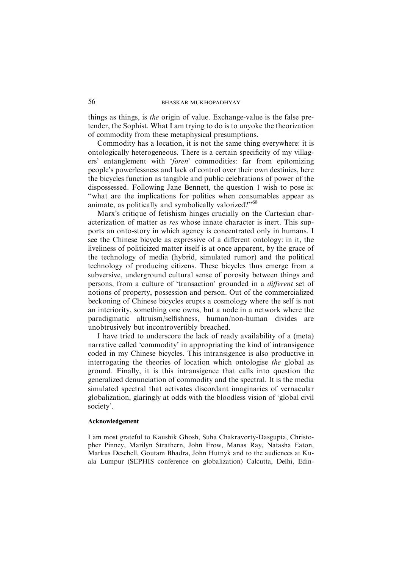things as things, is *the* origin of value. Exchange-value is the false pretender, the Sophist. What I am trying to do is to unyoke the theorization of commodity from these metaphysical presumptions.

Commodity has a location, it is not the same thing everywhere: it is ontologically heterogeneous. There is a certain specificity of my villagers' entanglement with 'foren' commodities: far from epitomizing people's powerlessness and lack of control over their own destinies, here the bicycles function as tangible and public celebrations of power of the dispossessed. Following Jane Bennett, the question 1 wish to pose is: ''what are the implications for politics when consumables appear as animate, as politically and symbolically valorized?"<sup>68</sup>

Marx's critique of fetishism hinges crucially on the Cartesian characterization of matter as res whose innate character is inert. This supports an onto-story in which agency is concentrated only in humans. I see the Chinese bicycle as expressive of a different ontology: in it, the liveliness of politicized matter itself is at once apparent, by the grace of the technology of media (hybrid, simulated rumor) and the political technology of producing citizens. These bicycles thus emerge from a subversive, underground cultural sense of porosity between things and persons, from a culture of 'transaction' grounded in a different set of notions of property, possession and person. Out of the commercialized beckoning of Chinese bicycles erupts a cosmology where the self is not an interiority, something one owns, but a node in a network where the paradigmatic altruism/selfishness, human/non-human divides are unobtrusively but incontrovertibly breached.

I have tried to underscore the lack of ready availability of a (meta) narrative called 'commodity' in appropriating the kind of intransigence coded in my Chinese bicycles. This intransigence is also productive in interrogating the theories of location which ontologise the global as ground. Finally, it is this intransigence that calls into question the generalized denunciation of commodity and the spectral. It is the media simulated spectral that activates discordant imaginaries of vernacular globalization, glaringly at odds with the bloodless vision of 'global civil society'.

#### Acknowledgement

I am most grateful to Kaushik Ghosh, Suha Chakravorty-Dasgupta, Christopher Pinney, Marilyn Strathern, John Frow, Manas Ray, Natasha Eaton, Markus Deschell, Goutam Bhadra, John Hutnyk and to the audiences at Kuala Lumpur (SEPHIS conference on globalization) Calcutta, Delhi, Edin-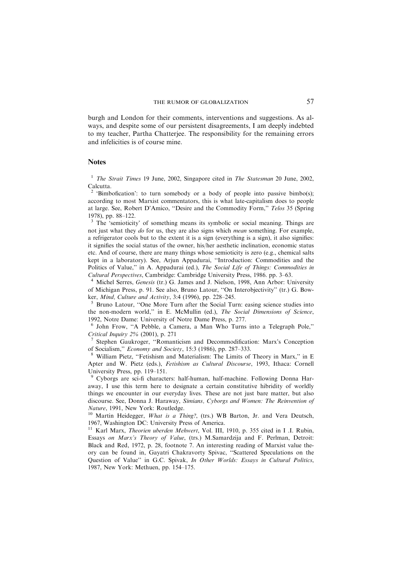burgh and London for their comments, interventions and suggestions. As always, and despite some of our persistent disagreements, I am deeply indebted to my teacher, Partha Chatterjee. The responsibility for the remaining errors and infelicities is of course mine.

#### Notes

<sup>1</sup> The Strait Times 19 June, 2002, Singapore cited in The Statesman 20 June, 2002, Calcutta.

<sup>2</sup> 'Bimbofication': to turn somebody or a body of people into passive bimbo(s); according to most Marxist commentators, this is what late-capitalism does to people at large. See, Robert D'Amico, ''Desire and the Commodity Form,'' Telos 35 (Spring 1978), pp. 88–122.

<sup>3</sup> The 'semioticity' of something means its symbolic or social meaning. Things are not just what they do for us, they are also signs which mean something. For example, a refrigerator cools but to the extent it is a sign (everything is a sign), it also signifies: it signifies the social status of the owner, his/her aesthetic inclination, economic status etc. And of course, there are many things whose semioticity is zero (e.g., chemical salts kept in a laboratory). See, Arjun Appadurai, ''Introduction: Commodities and the Politics of Value," in A. Appadurai (ed.), The Social Life of Things: Commodities in Cultural Perspectives, Cambridge: Cambridge University Press, 1986. pp. 3–63. <sup>4</sup> Michel Serres, Genesis (tr.) G. James and J. Nielson, 1998, Ann Arbor: University

of Michigan Press, p. 91. See also, Bruno Latour, ''On Interobjectivity'' (tr.) G. Bowker, *Mind, Culture and Activity*, 3:4 (1996), pp. 228–245.<br><sup>5</sup> Bruno Latour, "One More Turn after the Social Turn: easing science studies into

the non-modern world,'' in E. McMullin (ed.), The Social Dimensions of Science, 1992, Notre Dame: University of Notre Dame Press, p. 277.

<sup>6</sup> John Frow, ''A Pebble, a Camera, a Man Who Turns into a Telegraph Pole,''

Critical Inquiry 2% (2001), p. 271<br>
<sup>7</sup> Stephen Gaukroger, "Romanticism and Decommodification: Marx's Conception<br>
of Socialism," *Economy and Society*, 15:3 (1986), pp. 287–333.

William Pietz, "Fetishism and Materialism: The Limits of Theory in Marx," in E Apter and W. Pietz (eds.), Fetishism as Cultural Discourse, 1993, Ithaca: Cornell University Press, pp. 119–151.

<sup>9</sup> Cyborgs are sci-fi characters: half-human, half-machine. Following Donna Haraway, I use this term here to designate a certain constitutive hibridity of worldly things we encounter in our everyday lives. These are not just bare matter, but also discourse. See, Donna J. Haraway, Simians, Cyborgs and Women: The Reinvention of Nature, 1991, New York: Routledge.<br><sup>10</sup> Martin Heidegger, *What is a Thing?*, (trs.) WB Barton, Jr. and Vera Deutsch,

1967, Washington DC: University Press of America.

<sup>11</sup> Karl Marx, *Theorien uberden Mehwert*, Vol. III, 1910, p. 355 cited in I .I. Rubin, Essays on Marx's Theory of Value, (trs.) M.Samardzija and F. Perlman, Detroit: Black and Red, 1972, p. 28, footnote 7. An interesting reading of Marxist value theory can be found in, Gayatri Chakravorty Spivac, ''Scattered Speculations on the Question of Value'' in G.C. Spivak, In Other Worlds: Essays in Cultural Politics, 1987, New York: Methuen, pp. 154–175.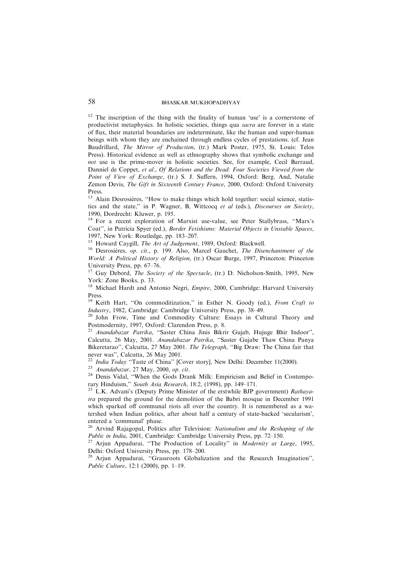<sup>12</sup> The inscription of the thing with the finality of human 'use' is a cornerstone of productivist metaphysics. In holistic societies, things qua sacra are forever in a state of flux, their material boundaries are indeterminate, like the human and super-human beings with whom they are enchained through endless cycles of prestations. (cf. Jean Baudrillard, The Mirror of Production, (tr.) Mark Poster, 1975, St. Louis: Telos Press). Historical evidence as well as ethnography shows that symbolic exchange and not use is the prime-mover in holistic societies. See, for example, Cecil Barraud, Danniel de Coppet, et al., Of Relations and the Dead: Four Societies Viewed from the Point of View of Exchange, (tr.) S. J. Suffern, 1994, Oxford: Berg. And, Natalie Zemon Devis, The Gift in Sixteenth Century France, 2000, Oxford: Oxford University Press.

 $13$  Alain Desrosières, "How to make things which hold together: social science, statistics and the state,'' in P. Wagner, B, Wittcocq et al (eds.), Discourses on Society, 1990, Dordrecht: Kluwer, p. 195.

<sup>14</sup> For a recent exploration of Marxist use-value, see Peter Stallybrass, "Marx's Coat'', in Patricia Spyer (ed.), Border Fetishisms: Material Objects in Unstable Spaces, 1997, New York: Routledge, pp. 183–207.<br><sup>15</sup> Howard Caygill, *The Art of Judgement*, 1989, Oxford: Blackwell.

<sup>16</sup> Desrosières, op. cit., p. 199. Also, Marcel Gauchet, The Disenchantment of the World: A Political History of Religion, (tr.) Oscar Burge, 1997, Princeton: Princeton University Press, pp. 67–76.

<sup>17</sup> Guy Debord, *The Society of the Spectacle*, (tr.) D. Nicholson-Smith, 1995, New York: Zone Books, p. 33.

<sup>18</sup> Michael Hardt and Antonio Negri, *Empire*, 2000, Cambridge: Harvard University Press.

<sup>19</sup> Keith Hart, "On commoditization," in Esther N. Goody (ed.), *From Craft to Industry*, 1982, Cambridge: Cambridge University Press, pp. 38–49.

<sup>20</sup> John Frow, Time and Commodity Culture: Essays in Cultural Theory and Postmodernity, 1997, Oxford: Clarendon Press, p. 8.

<sup>21</sup> Anandabazar Patrika, ''Saster China Jinis Bikrir Gujab, Hujuge Bhir Indoor'', Calcutta, 26 May, 2001. Anandabazar Patrika, ''Saster Gujabe Thaw China Panya Bikeretarao", Calcutta, 27 May 2001. The Telegraph, "Big Draw: The China fair that never was", Calcutta, 26 May 2001.<br><sup>22</sup> India Today "Taste of China" [Cover story], New Delhi: December 11(2000).

<sup>23</sup> Anandabazar, 27 May, 2000, op. cit.<br><sup>24</sup> Denis Vidal, "When the Gods Drank Milk: Empiricism and Belief in Contempo-<br>rary Hinduism," *South Asia Research*, 18:2, (1998), pp. 149–171.

<sup>25</sup> L.K. Advani's (Deputy Prime Minister of the erstwhile BJP government) Rathayatra prepared the ground for the demolition of the Babri mosque in December 1991 which sparked off communal riots all over the country. It is remembered as a watershed when Indian politics, after about half a century of state-backed 'secularism', entered a 'communal' phase.

<sup>26</sup> Arvind Rajagopal, Politics after Television: Nationalism and the Reshaping of the Public in India, 2001, Cambridge: Cambridge University Press, pp. 72–150.<br><sup>27</sup> Arjun Appadurai, "The Production of Locality" in *Modernity at Large*, 1995,

Delhi: Oxford University Press, pp. 178–200.

<sup>28</sup> Arjun Appadurai, "Grassroots Globalization and the Research Imagination", Public Culture, 12:1 (2000), pp. 1–19.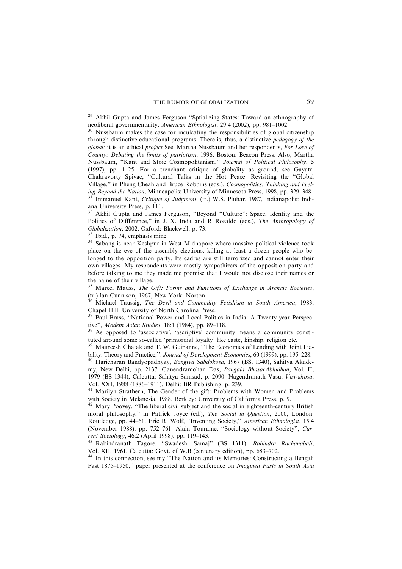## THE RUMOR OF GLOBALIZATION 59

<sup>29</sup> Akhil Gupta and James Ferguson "Sptializing States: Toward an ethnography of

neoliberal governmentality, *American Ethnologist*, 29:4 (2002), pp. 981-1002.<br><sup>30</sup> Nussbaum makes the case for inculcating the responsibilities of global citizenship through distinctive educational programs. There is, thus, a distinctive pedagogy of the global: it is an ethical project See: Martha Nussbaum and her respondents, For Love of County: Debating the limits of patriotism, 1996, Boston: Beacon Press. Also, Martha Nussbaum, ''Kant and Stoic Cosmopolitanism,'' Journal of Political Philosophy, 5 (1997), pp. 1–25. For a trenchant critique of globality as ground, see Gayatri Chakravorty Spivac, ''Cultural Talks in the Hot Peace: Revisiting the ''Global Village,'' in Pheng Cheah and Bruce Robbins (eds.), Cosmopolitics: Thinking and Feeling Beyond the Nation, Minneapolis: University of Minnesota Press, 1998, pp. 329–348.<br><sup>31</sup> Immanuel Kant, Critique of Judgment, (tr.) W.S. Pluhar, 1987, Indianapolis: Indiana University Press, p. 111.

<sup>32</sup> Akhil Gupta and James Ferguson, ''Beyond ''Culture'': Space, Identity and the Politics of Diffference," in J. X. Inda and R Rosaldo (eds.), The Anthropology of Globalization, 2002, Oxford: Blackwell, p. 73.

 $\frac{33}{34}$  Ibid., p. 74, emphasis mine.<br><sup>34</sup> Sabang is near Keshpur in West Midnapore where massive political violence took place on the eve of the assembly elections, killing at least a dozen people who belonged to the opposition party. Its cadres are still terrorized and cannot enter their own villages. My respondents were mostly sympathizers of the opposition party and before talking to me they made me promise that I would not disclose their names or the name of their village.

<sup>35</sup> Marcel Mauss, The Gift: Forms and Functions of Exchange in Archaic Societies, (tr.) lan Cunnison, 1967, New York: Norton.

 $36$  Michael Taussig, The Devil and Commodity Fetishism in South America, 1983, Chapel Hill: University of North Carolina Press.

 $37$  Paul Brass, "National Power and Local Politics in India: A Twenty-year Perspective", *Modem Asian Studies*, 18:1 (1984), pp. 89–118.

 $18^3$  As opposed to 'associative', 'ascriptive' community means a community constituted around some so-called 'primordial loyalty' like caste, kinship, religion etc.<br><sup>39</sup> Maitreech Ghatak and T. W. Cuireanns, "The Fig. Co.

Maitreesh Ghatak and T. W. Guinanne, "The Economics of Lending with Joint Liability: Theory and Practice,". Journal of Development Economics, 60 (1999), pp. 195–228.<br><sup>40</sup> Haricharan Bandyopadhyay, *Bangiya Sabdokosa*, 1967 (BS. 1340), Sahitya Akade-

my, New Delhi, pp. 2137. Ganendramohan Das, Bangala BhasarAbhidhan, Vol. II, 1979 (BS 1344), Calcutta: Sahitya Samsad, p. 2090. Nagendranath Vasu, Viswakosa, Vol. XXI, 1988 (1886–1911), Delhi: BR Publishing, p. 239.

<sup>41</sup> Marilyn Strathern, The Gender of the gift: Problems with Women and Problems with Society in Melanesia, 1988, Berkley: University of California Press, p. 9.

<sup>42</sup> Mary Poovey, "The liberal civil subject and the social in eighteenth-century British moral philosophy," in Patrick Joyce (ed.), The Social in Question, 2000, London: Routledge, pp. 44–61. Eric R. Wolf, ''Inventing Society,'' American Ethnologist, 15:4 (November 1988), pp. 752–761. Alain Touraine, ''Sociology without Society'', Current Sociology, 46:2 (April 1998), pp. 119–143.<br><sup>43</sup> Rabindranath Tagore, ''Swadeshi Samaj'' (BS 1311), *Rabindra Rachanabali*,

Vol. XII, 1961, Calcutta: Govt. of W.B (centenary edition), pp. 683–702.

<sup>44</sup> In this connection, see my ''The Nation and its Memories: Constructing a Bengali Past 1875–1950," paper presented at the conference on Imagined Pasts in South Asia